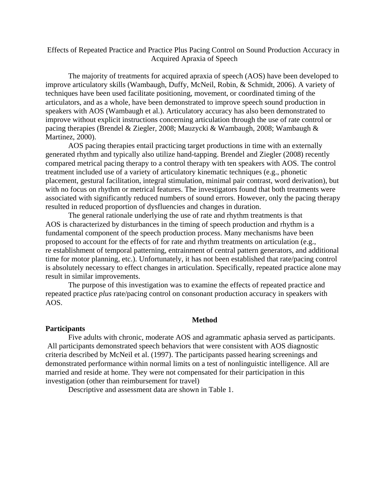# Effects of Repeated Practice and Practice Plus Pacing Control on Sound Production Accuracy in Acquired Apraxia of Speech

 The majority of treatments for acquired apraxia of speech (AOS) have been developed to improve articulatory skills (Wambaugh, Duffy, McNeil, Robin, & Schmidt, 2006). A variety of techniques have been used facilitate positioning, movement, or coordinated timing of the articulators, and as a whole, have been demonstrated to improve speech sound production in speakers with AOS (Wambaugh et al.). Articulatory accuracy has also been demonstrated to improve without explicit instructions concerning articulation through the use of rate control or pacing therapies (Brendel & Ziegler, 2008; Mauzycki & Wambaugh, 2008; Wambaugh & Martinez, 2000).

AOS pacing therapies entail practicing target productions in time with an externally generated rhythm and typically also utilize hand-tapping. Brendel and Ziegler (2008) recently compared metrical pacing therapy to a control therapy with ten speakers with AOS. The control treatment included use of a variety of articulatory kinematic techniques (e.g., phonetic placement, gestural facilitation, integral stimulation, minimal pair contrast, word derivation), but with no focus on rhythm or metrical features. The investigators found that both treatments were associated with significantly reduced numbers of sound errors. However, only the pacing therapy resulted in reduced proportion of dysfluencies and changes in duration.

The general rationale underlying the use of rate and rhythm treatments is that AOS is characterized by disturbances in the timing of speech production and rhythm is a fundamental component of the speech production process. Many mechanisms have been proposed to account for the effects of for rate and rhythm treatments on articulation (e.g., re establishment of temporal patterning, entrainment of central pattern generators, and additional time for motor planning, etc.). Unfortunately, it has not been established that rate/pacing control is absolutely necessary to effect changes in articulation. Specifically, repeated practice alone may result in similar improvements.

The purpose of this investigation was to examine the effects of repeated practice and repeated practice *plus* rate/pacing control on consonant production accuracy in speakers with AOS.

#### **Method**

#### **Participants**

 Five adults with chronic, moderate AOS and agrammatic aphasia served as participants. All participants demonstrated speech behaviors that were consistent with AOS diagnostic criteria described by McNeil et al. (1997). The participants passed hearing screenings and demonstrated performance within normal limits on a test of nonlinguistic intelligence. All are married and reside at home. They were not compensated for their participation in this investigation (other than reimbursement for travel)

Descriptive and assessment data are shown in Table 1.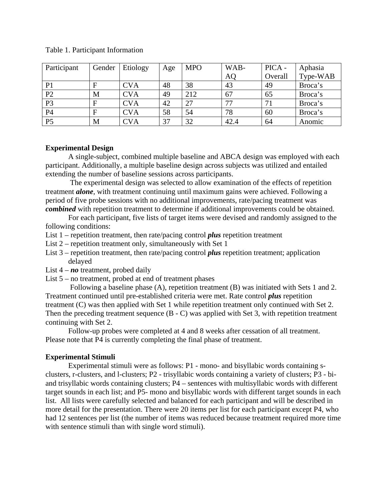| Participant    | Gender | Etiology   | Age | <b>MPO</b> | WAB-      | PICA -  | Aphasia  |
|----------------|--------|------------|-----|------------|-----------|---------|----------|
|                |        |            |     |            | <b>AQ</b> | Overall | Type-WAB |
| P <sub>1</sub> |        | <b>CVA</b> | 48  | 38         | 43        | 49      | Broca's  |
| P2             | M      | <b>CVA</b> | 49  | 212        | 67        | 65      | Broca's  |
| P <sub>3</sub> | F      | <b>CVA</b> | 42  | 27         | 77        | 71      | Broca's  |
| <b>P4</b>      | F      | <b>CVA</b> | 58  | 54         | 78        | 60      | Broca's  |
| P <sub>5</sub> | M      | <b>CVA</b> | 37  | 32         | 42.4      | 64      | Anomic   |

## **Experimental Design**

A single-subject, combined multiple baseline and ABCA design was employed with each participant. Additionally, a multiple baseline design across subjects was utilized and entailed extending the number of baseline sessions across participants.

 The experimental design was selected to allow examination of the effects of repetition treatment *alone*, with treatment continuing until maximum gains were achieved. Following a period of five probe sessions with no additional improvements, rate/pacing treatment was *combined* with repetition treatment to determine if additional improvements could be obtained.

For each participant, five lists of target items were devised and randomly assigned to the following conditions:

- List 1 repetition treatment, then rate/pacing control *plus* repetition treatment
- List 2 repetition treatment only, simultaneously with Set 1
- List 3 repetition treatment, then rate/pacing control *plus* repetition treatment; application delayed
- List 4 *no* treatment, probed daily
- List 5 no treatment, probed at end of treatment phases

 Following a baseline phase (A), repetition treatment (B) was initiated with Sets 1 and 2. Treatment continued until pre-established criteria were met. Rate control *plus* repetition treatment (C) was then applied with Set 1 while repetition treatment only continued with Set 2. Then the preceding treatment sequence (B - C) was applied with Set 3, with repetition treatment continuing with Set 2.

Follow-up probes were completed at 4 and 8 weeks after cessation of all treatment. Please note that P4 is currently completing the final phase of treatment.

### **Experimental Stimuli**

 Experimental stimuli were as follows: P1 - mono- and bisyllabic words containing sclusters, r-clusters, and l-clusters; P2 - trisyllabic words containing a variety of clusters; P3 - biand trisyllabic words containing clusters; P4 – sentences with multisyllabic words with different target sounds in each list; and P5- mono and bisyllabic words with different target sounds in each list. All lists were carefully selected and balanced for each participant and will be described in more detail for the presentation. There were 20 items per list for each participant except P4, who had 12 sentences per list (the number of items was reduced because treatment required more time with sentence stimuli than with single word stimuli).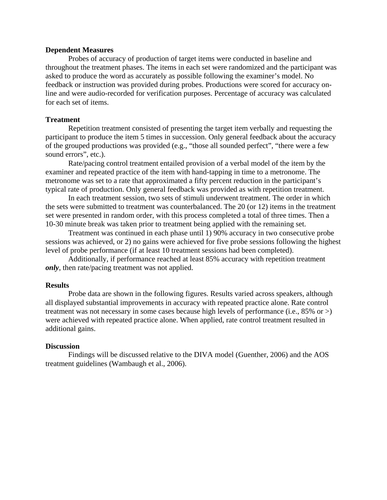#### **Dependent Measures**

 Probes of accuracy of production of target items were conducted in baseline and throughout the treatment phases. The items in each set were randomized and the participant was asked to produce the word as accurately as possible following the examiner's model. No feedback or instruction was provided during probes. Productions were scored for accuracy online and were audio-recorded for verification purposes. Percentage of accuracy was calculated for each set of items.

#### **Treatment**

 Repetition treatment consisted of presenting the target item verbally and requesting the participant to produce the item 5 times in succession. Only general feedback about the accuracy of the grouped productions was provided (e.g., "those all sounded perfect", "there were a few sound errors", etc.).

Rate/pacing control treatment entailed provision of a verbal model of the item by the examiner and repeated practice of the item with hand-tapping in time to a metronome. The metronome was set to a rate that approximated a fifty percent reduction in the participant's typical rate of production. Only general feedback was provided as with repetition treatment.

 In each treatment session, two sets of stimuli underwent treatment. The order in which the sets were submitted to treatment was counterbalanced. The 20 (or 12) items in the treatment set were presented in random order, with this process completed a total of three times. Then a 10-30 minute break was taken prior to treatment being applied with the remaining set.

 Treatment was continued in each phase until 1) 90% accuracy in two consecutive probe sessions was achieved, or 2) no gains were achieved for five probe sessions following the highest level of probe performance (if at least 10 treatment sessions had been completed).

 Additionally, if performance reached at least 85% accuracy with repetition treatment *only*, then rate/pacing treatment was not applied.

#### **Results**

 Probe data are shown in the following figures. Results varied across speakers, although all displayed substantial improvements in accuracy with repeated practice alone. Rate control treatment was not necessary in some cases because high levels of performance (i.e., 85% or >) were achieved with repeated practice alone. When applied, rate control treatment resulted in additional gains.

#### **Discussion**

 Findings will be discussed relative to the DIVA model (Guenther, 2006) and the AOS treatment guidelines (Wambaugh et al., 2006).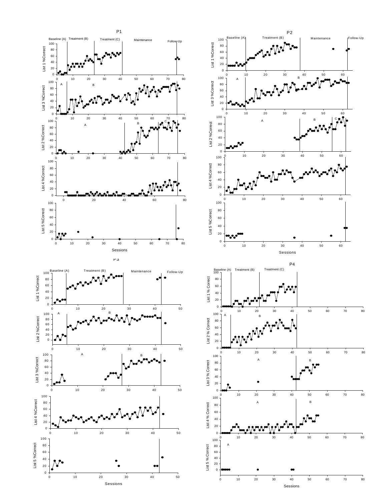

 $\frac{1}{80}$ 

 $\frac{1}{80}$ 

 $\frac{1}{80}$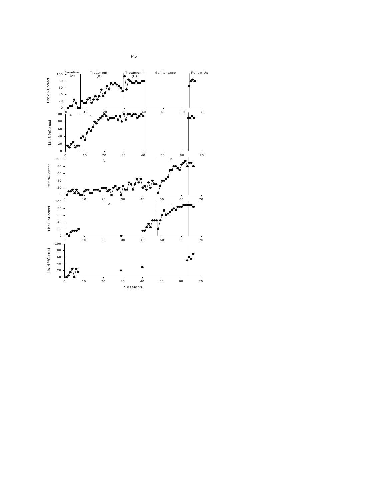